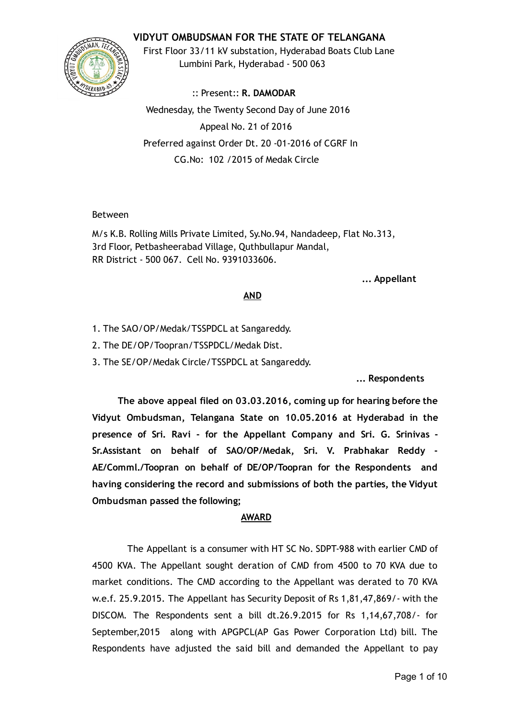## VIDYUT OMBUDSMAN FOR THE STATE OF TELANGANA



First Floor 33/11 kV substation, Hyderabad Boats Club Lane Lumbini Park, Hyderabad ‐ 500 063

:: Present:: R. DAMODAR Wednesday, the Twenty Second Day of June 2016 Appeal No. 21 of 2016 Preferred against Order Dt. 20 ‐01‐2016 of CGRF In CG.No: 102 /2015 of Medak Circle

#### Between

M/s K.B. Rolling Mills Private Limited, Sy.No.94, Nandadeep, Flat No.313, 3rd Floor, Petbasheerabad Village, Quthbullapur Mandal, RR District ‐ 500 067. Cell No. 9391033606.

#### ... Appellant

### AND

- 1. The SAO/OP/Medak/TSSPDCL at Sangareddy.
- 2. The DE/OP/Toopran/TSSPDCL/Medak Dist.
- 3. The SE/OP/Medak Circle/TSSPDCL at Sangareddy.

... Respondents

The above appeal filed on 03.03.2016, coming up for hearing before the Vidyut Ombudsman, Telangana State on 10.05.2016 at Hyderabad in the presence of Sri. Ravi ‐ for the Appellant Company and Sri. G. Srinivas ‐ Sr.Assistant on behalf of SAO/OP/Medak, Sri. V. Prabhakar Reddy ‐ AE/Comml./Toopran on behalf of DE/OP/Toopran for the Respondents and having considering the record and submissions of both the parties, the Vidyut Ombudsman passed the following;

#### AWARD

The Appellant is a consumer with HT SC No. SDPT‐988 with earlier CMD of 4500 KVA. The Appellant sought deration of CMD from 4500 to 70 KVA due to market conditions. The CMD according to the Appellant was derated to 70 KVA w.e.f. 25.9.2015. The Appellant has Security Deposit of Rs 1,81,47,869/‐ with the DISCOM. The Respondents sent a bill dt.26.9.2015 for Rs 1,14,67,708/‐ for September,2015 along with APGPCL(AP Gas Power Corporation Ltd) bill. The Respondents have adjusted the said bill and demanded the Appellant to pay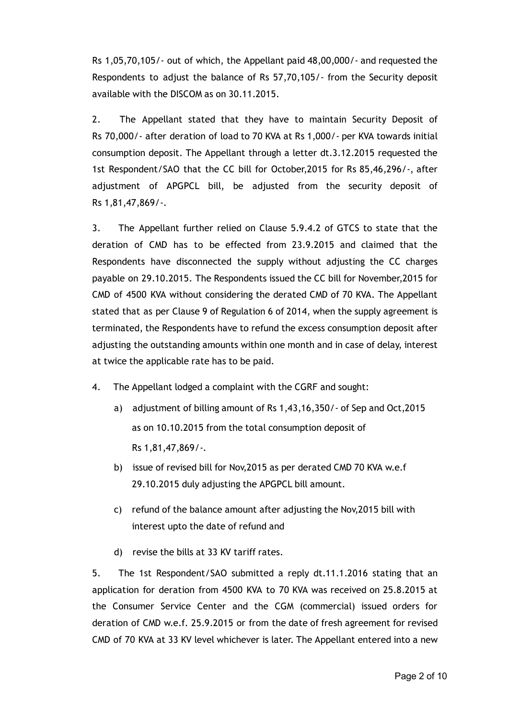Rs 1,05,70,105/‐ out of which, the Appellant paid 48,00,000/‐ and requested the Respondents to adjust the balance of Rs 57,70,105/‐ from the Security deposit available with the DISCOM as on 30.11.2015.

2. The Appellant stated that they have to maintain Security Deposit of Rs 70,000/‐ after deration of load to 70 KVA at Rs 1,000/‐ per KVA towards initial consumption deposit. The Appellant through a letter dt.3.12.2015 requested the 1st Respondent/SAO that the CC bill for October,2015 for Rs 85,46,296/‐, after adjustment of APGPCL bill, be adjusted from the security deposit of Rs 1,81,47,869/‐.

3. The Appellant further relied on Clause 5.9.4.2 of GTCS to state that the deration of CMD has to be effected from 23.9.2015 and claimed that the Respondents have disconnected the supply without adjusting the CC charges payable on 29.10.2015. The Respondents issued the CC bill for November,2015 for CMD of 4500 KVA without considering the derated CMD of 70 KVA. The Appellant stated that as per Clause 9 of Regulation 6 of 2014, when the supply agreement is terminated, the Respondents have to refund the excess consumption deposit after adjusting the outstanding amounts within one month and in case of delay, interest at twice the applicable rate has to be paid.

- 4. The Appellant lodged a complaint with the CGRF and sought:
	- a) adjustment of billing amount of Rs 1,43,16,350/‐ of Sep and Oct,2015 as on 10.10.2015 from the total consumption deposit of Rs 1,81,47,869/‐.
	- b) issue of revised bill for Nov,2015 as per derated CMD 70 KVA w.e.f 29.10.2015 duly adjusting the APGPCL bill amount.
	- c) refund of the balance amount after adjusting the Nov,2015 bill with interest upto the date of refund and
	- d) revise the bills at 33 KV tariff rates.

5. The 1st Respondent/SAO submitted a reply dt.11.1.2016 stating that an application for deration from 4500 KVA to 70 KVA was received on 25.8.2015 at the Consumer Service Center and the CGM (commercial) issued orders for deration of CMD w.e.f. 25.9.2015 or from the date of fresh agreement for revised CMD of 70 KVA at 33 KV level whichever is later. The Appellant entered into a new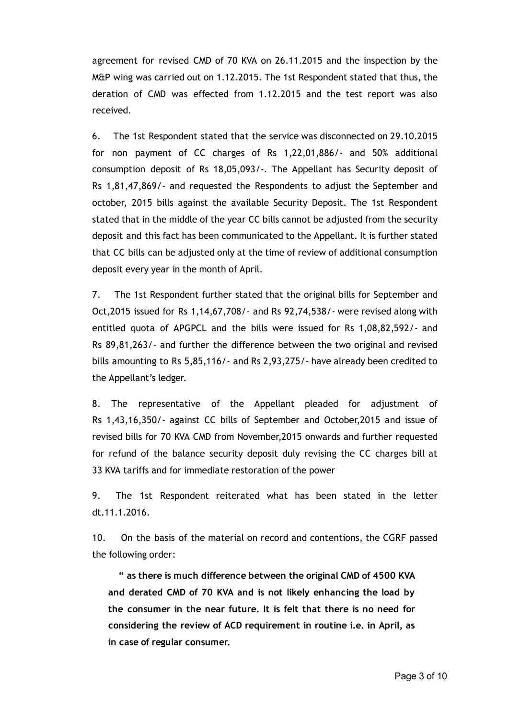agreement for revised CMD of 70 KVA on 26.11.2015 and the inspection by the M&P wing was carried out on 1.12.2015. The 1st Respondent stated that thus, the deration of CMD was effected from 1.12.2015 and the test report was also received.

6. The 1st Respondent stated that the service was disconnected on 29.10.2015 for non payment of CC charges of Rs 1,22,01,886/‐ and 50% additional consumption deposit of Rs 18,05,093/‐. The Appellant has Security deposit of Rs 1,81,47,869/‐ and requested the Respondents to adjust the September and october, 2015 bills against the available Security Deposit. The 1st Respondent stated that in the middle of the year CC bills cannot be adjusted from the security deposit and this fact has been communicated to the Appellant. It is further stated that CC bills can be adjusted only at the time of review of additional consumption deposit every year in the month of April.

7. The 1st Respondent further stated that the original bills for September and Oct,2015 issued for Rs 1,14,67,708/‐ and Rs 92,74,538/‐ were revised along with entitled quota of APGPCL and the bills were issued for Rs 1,08,82,592/‐ and Rs 89,81,263/‐ and further the difference between the two original and revised bills amounting to Rs 5,85,116/‐ and Rs 2,93,275/‐ have already been credited to the Appellant's ledger.

8. The representative of the Appellant pleaded for adjustment of Rs 1,43,16,350/‐ against CC bills of September and October,2015 and issue of revised bills for 70 KVA CMD from November,2015 onwards and further requested for refund of the balance security deposit duly revising the CC charges bill at 33 KVA tariffs and for immediate restoration of the power

9. The 1st Respondent reiterated what has been stated in the letter dt.11.1.2016.

10. On the basis of the material on record and contentions, the CGRF passed the following order:

" as there is much difference between the original CMD of 4500 KVA and derated CMD of 70 KVA and is not likely enhancing the load by the consumer in the near future. It is felt that there is no need for considering the review of ACD requirement in routine i.e. in April, as in case of regular consumer.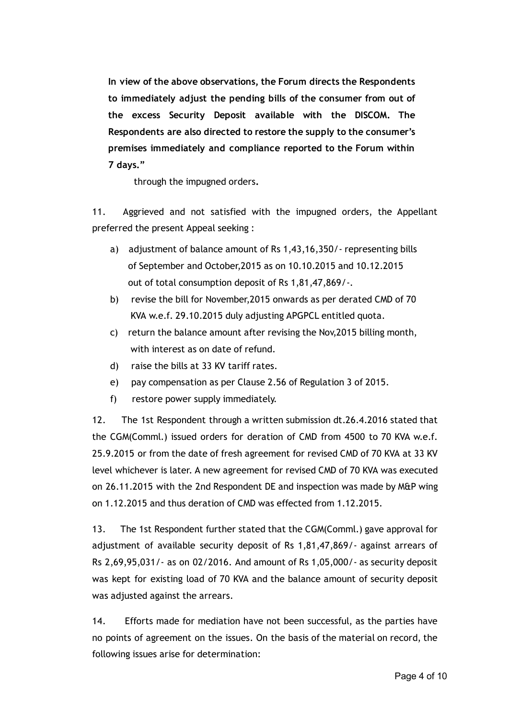In view of the above observations, the Forum directs the Respondents to immediately adjust the pending bills of the consumer from out of the excess Security Deposit available with the DISCOM. The Respondents are also directed to restore the supply to the consumer's premises immediately and compliance reported to the Forum within 7 days."

through the impugned orders.

11. Aggrieved and not satisfied with the impugned orders, the Appellant preferred the present Appeal seeking :

- a) adjustment of balance amount of Rs 1,43,16,350/‐ representing bills of September and October,2015 as on 10.10.2015 and 10.12.2015 out of total consumption deposit of Rs 1,81,47,869/‐.
- b) revise the bill for November,2015 onwards as per derated CMD of 70 KVA w.e.f. 29.10.2015 duly adjusting APGPCL entitled quota.
- c) return the balance amount after revising the Nov,2015 billing month, with interest as on date of refund.
- d) raise the bills at 33 KV tariff rates.
- e) pay compensation as per Clause 2.56 of Regulation 3 of 2015.
- f) restore power supply immediately.

12. The 1st Respondent through a written submission dt.26.4.2016 stated that the CGM(Comml.) issued orders for deration of CMD from 4500 to 70 KVA w.e.f. 25.9.2015 or from the date of fresh agreement for revised CMD of 70 KVA at 33 KV level whichever is later. A new agreement for revised CMD of 70 KVA was executed on 26.11.2015 with the 2nd Respondent DE and inspection was made by M&P wing on 1.12.2015 and thus deration of CMD was effected from 1.12.2015.

13. The 1st Respondent further stated that the CGM(Comml.) gave approval for adjustment of available security deposit of Rs 1,81,47,869/‐ against arrears of Rs 2,69,95,031/‐ as on 02/2016. And amount of Rs 1,05,000/‐ as security deposit was kept for existing load of 70 KVA and the balance amount of security deposit was adjusted against the arrears.

14. Efforts made for mediation have not been successful, as the parties have no points of agreement on the issues. On the basis of the material on record, the following issues arise for determination: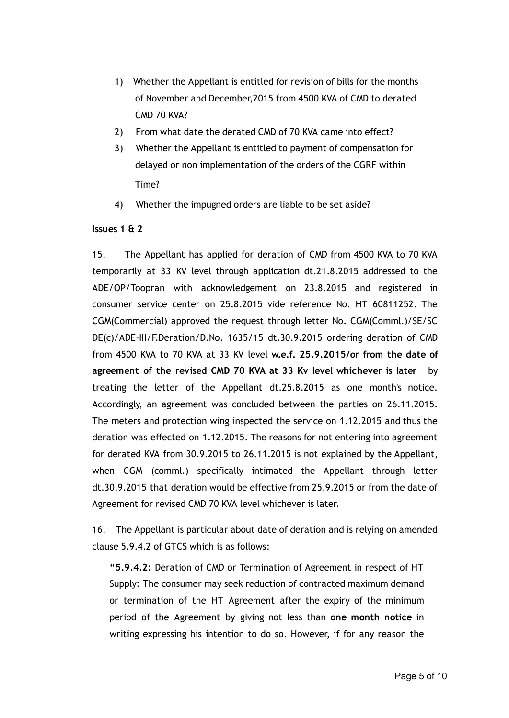- 1) Whether the Appellant is entitled for revision of bills for the months of November and December,2015 from 4500 KVA of CMD to derated CMD 70 KVA?
- 2) From what date the derated CMD of 70 KVA came into effect?
- 3) Whether the Appellant is entitled to payment of compensation for delayed or non implementation of the orders of the CGRF within Time?
- 4) Whether the impugned orders are liable to be set aside?

## Issues 1 & 2

15. The Appellant has applied for deration of CMD from 4500 KVA to 70 KVA temporarily at 33 KV level through application dt.21.8.2015 addressed to the ADE/OP/Toopran with acknowledgement on 23.8.2015 and registered in consumer service center on 25.8.2015 vide reference No. HT 60811252. The CGM(Commercial) approved the request through letter No. CGM(Comml.)/SE/SC DE(c)/ADE‐III/F.Deration/D.No. 1635/15 dt.30.9.2015 ordering deration of CMD from 4500 KVA to 70 KVA at 33 KV level w.e.f. 25.9.2015/or from the date of agreement of the revised CMD 70 KVA at 33 Kv level whichever is later by treating the letter of the Appellant dt.25.8.2015 as one month's notice. Accordingly, an agreement was concluded between the parties on 26.11.2015. The meters and protection wing inspected the service on 1.12.2015 and thus the deration was effected on 1.12.2015. The reasons for not entering into agreement for derated KVA from 30.9.2015 to 26.11.2015 is not explained by the Appellant, when CGM (comml.) specifically intimated the Appellant through letter dt.30.9.2015 that deration would be effective from 25.9.2015 or from the date of Agreement for revised CMD 70 KVA level whichever is later.

16. The Appellant is particular about date of deration and is relying on amended clause 5.9.4.2 of GTCS which is as follows:

"5.9.4.2: Deration of CMD or Termination of Agreement in respect of HT Supply: The consumer may seek reduction of contracted maximum demand or termination of the HT Agreement after the expiry of the minimum period of the Agreement by giving not less than one month notice in writing expressing his intention to do so. However, if for any reason the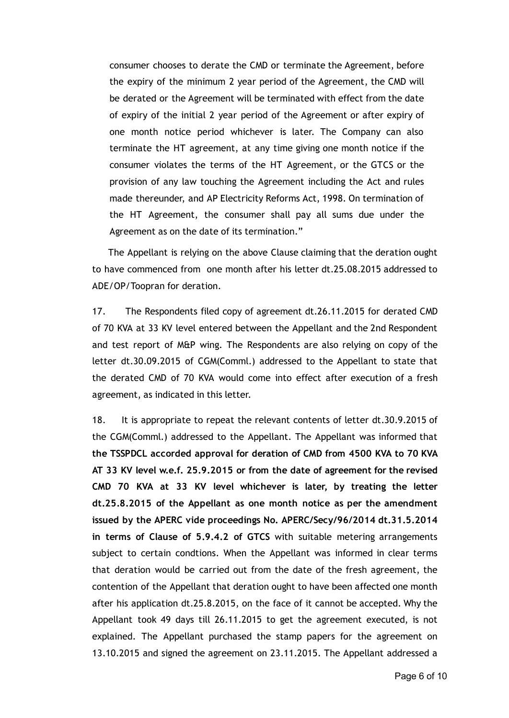consumer chooses to derate the CMD or terminate the Agreement, before the expiry of the minimum 2 year period of the Agreement, the CMD will be derated or the Agreement will be terminated with effect from the date of expiry of the initial 2 year period of the Agreement or after expiry of one month notice period whichever is later. The Company can also terminate the HT agreement, at any time giving one month notice if the consumer violates the terms of the HT Agreement, or the GTCS or the provision of any law touching the Agreement including the Act and rules made thereunder, and AP Electricity Reforms Act, 1998. On termination of the HT Agreement, the consumer shall pay all sums due under the Agreement as on the date of its termination."

The Appellant is relying on the above Clause claiming that the deration ought to have commenced from one month after his letter dt.25.08.2015 addressed to ADE/OP/Toopran for deration.

17. The Respondents filed copy of agreement dt.26.11.2015 for derated CMD of 70 KVA at 33 KV level entered between the Appellant and the 2nd Respondent and test report of M&P wing. The Respondents are also relying on copy of the letter dt.30.09.2015 of CGM(Comml.) addressed to the Appellant to state that the derated CMD of 70 KVA would come into effect after execution of a fresh agreement, as indicated in this letter.

18. It is appropriate to repeat the relevant contents of letter dt.30.9.2015 of the CGM(Comml.) addressed to the Appellant. The Appellant was informed that the TSSPDCL accorded approval for deration of CMD from 4500 KVA to 70 KVA AT 33 KV level w.e.f. 25.9.2015 or from the date of agreement for the revised CMD 70 KVA at 33 KV level whichever is later, by treating the letter dt.25.8.2015 of the Appellant as one month notice as per the amendment issued by the APERC vide proceedings No. APERC/Secy/96/2014 dt.31.5.2014 in terms of Clause of 5.9.4.2 of GTCS with suitable metering arrangements subject to certain condtions. When the Appellant was informed in clear terms that deration would be carried out from the date of the fresh agreement, the contention of the Appellant that deration ought to have been affected one month after his application dt.25.8.2015, on the face of it cannot be accepted. Why the Appellant took 49 days till 26.11.2015 to get the agreement executed, is not explained. The Appellant purchased the stamp papers for the agreement on 13.10.2015 and signed the agreement on 23.11.2015. The Appellant addressed a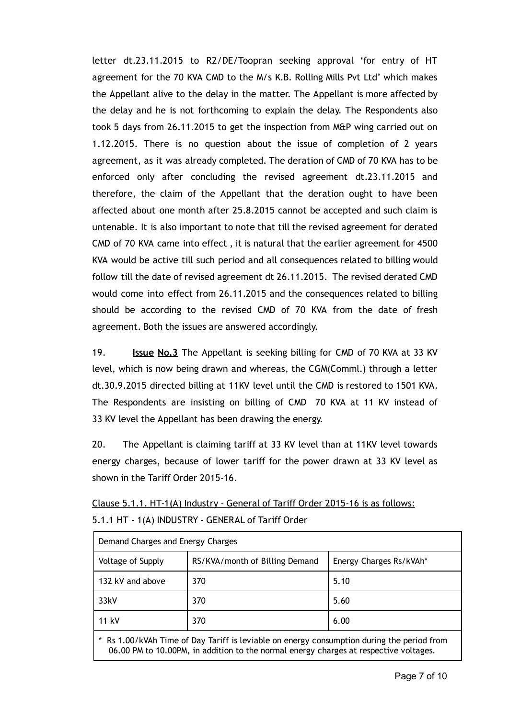letter dt.23.11.2015 to R2/DE/Toopran seeking approval 'for entry of HT agreement for the 70 KVA CMD to the M/s K.B. Rolling Mills Pvt Ltd' which makes the Appellant alive to the delay in the matter. The Appellant is more affected by the delay and he is not forthcoming to explain the delay. The Respondents also took 5 days from 26.11.2015 to get the inspection from M&P wing carried out on 1.12.2015. There is no question about the issue of completion of 2 years agreement, as it was already completed. The deration of CMD of 70 KVA has to be enforced only after concluding the revised agreement dt.23.11.2015 and therefore, the claim of the Appellant that the deration ought to have been affected about one month after 25.8.2015 cannot be accepted and such claim is untenable. It is also important to note that till the revised agreement for derated CMD of 70 KVA came into effect , it is natural that the earlier agreement for 4500 KVA would be active till such period and all consequences related to billing would follow till the date of revised agreement dt 26.11.2015. The revised derated CMD would come into effect from 26.11.2015 and the consequences related to billing should be according to the revised CMD of 70 KVA from the date of fresh agreement. Both the issues are answered accordingly.

19. **Issue No.3** The Appellant is seeking billing for CMD of 70 KVA at 33 KV level, which is now being drawn and whereas, the CGM(Comml.) through a letter dt.30.9.2015 directed billing at 11KV level until the CMD is restored to 1501 KVA. The Respondents are insisting on billing of CMD 70 KVA at 11 KV instead of 33 KV level the Appellant has been drawing the energy.

20. The Appellant is claiming tariff at 33 KV level than at 11KV level towards energy charges, because of lower tariff for the power drawn at 33 KV level as shown in the Tariff Order 2015‐16.

| Clause 5.1.1. HT-1(A) Industry - General of Tariff Order 2015-16 is as follows: |  |
|---------------------------------------------------------------------------------|--|
| 5.1.1 HT - 1(A) INDUSTRY - GENERAL of Tariff Order                              |  |

|                   | Demand Charges and Energy Charges |                         |  |
|-------------------|-----------------------------------|-------------------------|--|
| Voltage of Supply | RS/KVA/month of Billing Demand    | Energy Charges Rs/kVAh* |  |
| 132 kV and above  | 370                               | 5.10                    |  |
| 33kV              | 370                               | 5.60                    |  |
| 11 kV             | 370                               | 6.00                    |  |

Rs 1.00/kVAh Time of Day Tariff is leviable on energy consumption during the period from 06.00 PM to 10.00PM, in addition to the normal energy charges at respective voltages.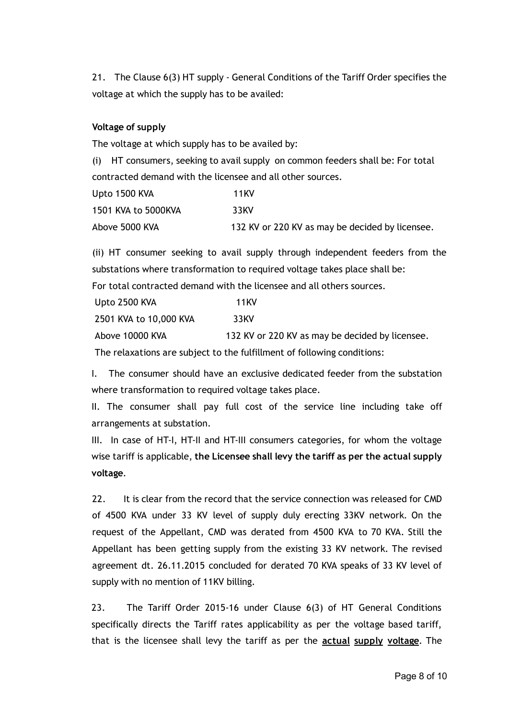21. The Clause 6(3) HT supply - General Conditions of the Tariff Order specifies the voltage at which the supply has to be availed:

#### Voltage of supply

The voltage at which supply has to be availed by:

(i) HT consumers, seeking to avail supply on common feeders shall be: For total contracted demand with the licensee and all other sources.

| Upto 1500 KVA       | 11 KV                                           |
|---------------------|-------------------------------------------------|
| 1501 KVA to 5000KVA | 33KV                                            |
| Above 5000 KVA      | 132 KV or 220 KV as may be decided by licensee. |

(ii) HT consumer seeking to avail supply through independent feeders from the substations where transformation to required voltage takes place shall be: For total contracted demand with the licensee and all others sources.

| Upto 2500 KVA          | <b>11KV</b>                                                                                                                                                                                                                           |
|------------------------|---------------------------------------------------------------------------------------------------------------------------------------------------------------------------------------------------------------------------------------|
| 2501 KVA to 10,000 KVA | 33KV                                                                                                                                                                                                                                  |
| Above 10000 KVA        | 132 KV or 220 KV as may be decided by licensee.                                                                                                                                                                                       |
|                        | $\mathbf{r}$ . The state of the state $\mathbf{r}$ is the state of the state of the state of the state of the state of the state of the state of the state of the state of the state of the state of the state of the state of the st |

The relaxations are subject to the fulfillment of following conditions:

I. The consumer should have an exclusive dedicated feeder from the substation where transformation to required voltage takes place.

II. The consumer shall pay full cost of the service line including take off arrangements at substation.

III. In case of HT‐I, HT‐II and HT‐III consumers categories, for whom the voltage wise tariff is applicable, the Licensee shall levy the tariff as per the actual supply voltage.

22. It is clear from the record that the service connection was released for CMD of 4500 KVA under 33 KV level of supply duly erecting 33KV network. On the request of the Appellant, CMD was derated from 4500 KVA to 70 KVA. Still the Appellant has been getting supply from the existing 33 KV network. The revised agreement dt. 26.11.2015 concluded for derated 70 KVA speaks of 33 KV level of supply with no mention of 11KV billing.

23. The Tariff Order 2015‐16 under Clause 6(3) of HT General Conditions specifically directs the Tariff rates applicability as per the voltage based tariff, that is the licensee shall levy the tariff as per the **actual supply voltage**. The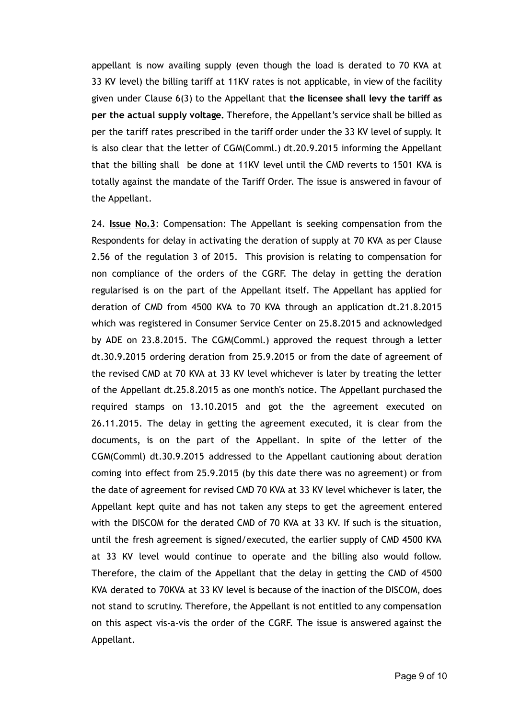appellant is now availing supply (even though the load is derated to 70 KVA at 33 KV level) the billing tariff at 11KV rates is not applicable, in view of the facility given under Clause 6(3) to the Appellant that the licensee shall levy the tariff as per the actual supply voltage. Therefore, the Appellant's service shall be billed as per the tariff rates prescribed in the tariff order under the 33 KV level of supply. It is also clear that the letter of CGM(Comml.) dt.20.9.2015 informing the Appellant that the billing shall be done at 11KV level until the CMD reverts to 1501 KVA is totally against the mandate of the Tariff Order. The issue is answered in favour of the Appellant.

24. **Issue No.3**: Compensation: The Appellant is seeking compensation from the Respondents for delay in activating the deration of supply at 70 KVA as per Clause 2.56 of the regulation 3 of 2015. This provision is relating to compensation for non compliance of the orders of the CGRF. The delay in getting the deration regularised is on the part of the Appellant itself. The Appellant has applied for deration of CMD from 4500 KVA to 70 KVA through an application dt.21.8.2015 which was registered in Consumer Service Center on 25.8.2015 and acknowledged by ADE on 23.8.2015. The CGM(Comml.) approved the request through a letter dt.30.9.2015 ordering deration from 25.9.2015 or from the date of agreement of the revised CMD at 70 KVA at 33 KV level whichever is later by treating the letter of the Appellant dt.25.8.2015 as one month's notice. The Appellant purchased the required stamps on 13.10.2015 and got the the agreement executed on 26.11.2015. The delay in getting the agreement executed, it is clear from the documents, is on the part of the Appellant. In spite of the letter of the CGM(Comml) dt.30.9.2015 addressed to the Appellant cautioning about deration coming into effect from 25.9.2015 (by this date there was no agreement) or from the date of agreement for revised CMD 70 KVA at 33 KV level whichever is later, the Appellant kept quite and has not taken any steps to get the agreement entered with the DISCOM for the derated CMD of 70 KVA at 33 KV. If such is the situation, until the fresh agreement is signed/executed, the earlier supply of CMD 4500 KVA at 33 KV level would continue to operate and the billing also would follow. Therefore, the claim of the Appellant that the delay in getting the CMD of 4500 KVA derated to 70KVA at 33 KV level is because of the inaction of the DISCOM, does not stand to scrutiny. Therefore, the Appellant is not entitled to any compensation on this aspect vis‐a‐vis the order of the CGRF. The issue is answered against the Appellant.